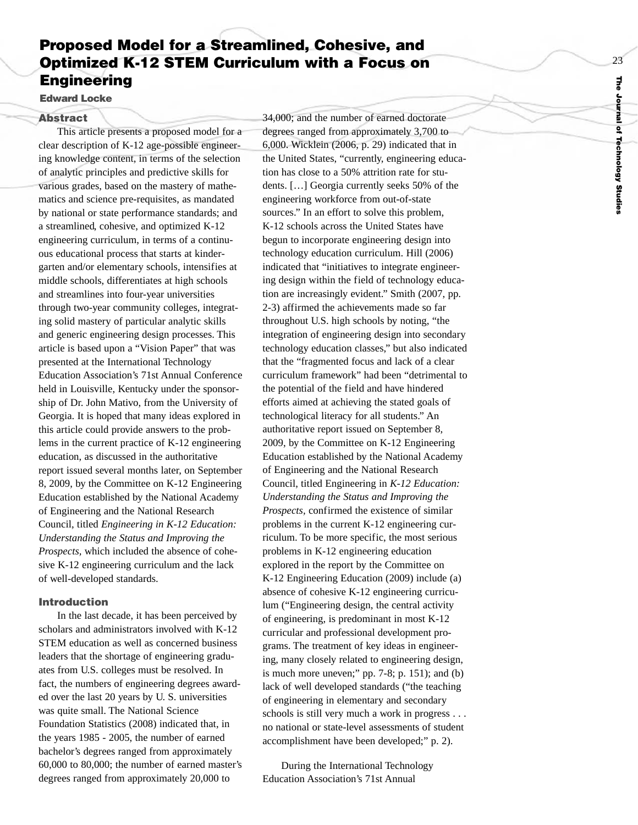# **Proposed Model for a Streamlined, Cohesive, and Optimized K-12 STEM Curriculum with a Focus on Engineering**

**Edward Locke**

#### **Abstract**

This article presents a proposed model for a clear description of K-12 age-possible engineering knowledge content, in terms of the selection of analytic principles and predictive skills for various grades, based on the mastery of mathematics and science pre-requisites, as mandated by national or state performance standards; and a streamlined, cohesive, and optimized K-12 engineering curriculum, in terms of a continuous educational process that starts at kindergarten and/or elementary schools, intensifies at middle schools, differentiates at high schools and streamlines into four-year universities through two-year community colleges, integrating solid mastery of particular analytic skills and generic engineering design processes. This article is based upon a "Vision Paper" that was presented at the International Technology Education Association' s 71st Annual Conference held in Louisville, Kentucky under the sponsorship of Dr. John Mativo, from the University of Georgia. It is hoped that many ideas explored in this article could provide answers to the problems in the current practice of K-12 engineering education, as discussed in the authoritative report issued several months later, on September 8, 2009, by the Committee on K-12 Engineering Education established by the National Academy of Engineering and the National Research Council, titled *Engineering in K-12 Education: Understanding the Status and Improving the Prospects,* which included the absence of cohesive K-12 engineering curriculum and the lack of well-developed standards.

#### **Introduction**

In the last decade, it has been perceived by scholars and administrators involved with K-12 STEM education as well as concerned business leaders that the shortage of engineering graduates from U.S. colleges must be resolved. In fact, the numbers of engineering degrees awarded over the last 20 years by U. S. universities was quite small. The National Science Foundation Statistics (2008) indicated that, in the years 1985 - 2005, the number of earned bachelor' s degrees ranged from approximately 60,000 to 80,000; the number of earned master's degrees ranged from approximately 20,000 to

34,000; and the number of earned doctorate degrees ranged from approximately 3,700 to 6,000. Wicklein (2006, p. 29) indicated that in the United States, "currently, engineering education has close to a 50% attrition rate for students. […] Georgia currently seeks 50% of the engineering workforce from out-of-state sources." In an effort to solve this problem, K-12 schools across the United States have begun to incorporate engineering design into technology education curriculum. Hill (2006) indicated that "initiatives to integrate engineering design within the field of technology education are increasingly evident." Smith (2007, pp. 2-3) affirmed the achievements made so far throughout U.S. high schools b y noting, "the integration of engineering design into secondary technology education classes," but also indicated that the "fragmented focus and lack of a clear curriculum framework" had been "detrimental to the potential of the field and hav e hindered efforts aimed at achieving the stated goals of technological literacy for all students." An authoritative report issued on September 8, 2009, b y the Committee on K-12 Engineering Education established by the National Academy of Engineering and the National Research Council, titled Engineering in *K-12 Education: Understanding the Status and Improving the Prospects,* confirmed the existence of similar problems in the current K-12 engineering curriculum. To be more specific, the most serious problems in K-12 engineering education explored in the report by the Committee on K-12 Engineering Education (2009) include (a) absence of cohesive K-12 engineering curriculum ("Engineering design, the central activity of engineering, is predominant in most K-12 curricular and professional development pro grams. The treatment of key ideas in engineering, many closely related to engineering design, is much more uneven;"  $pp. 7-8$ ;  $p. 151$ ; and (b) lack of well developed standards ("the teaching of engineering in elementary and secondary schools is still very much a work in progress . . . no national or state-level assessments of student accomplishment have been developed;" p. 2).

During the International Technology Education Association's 71st Annual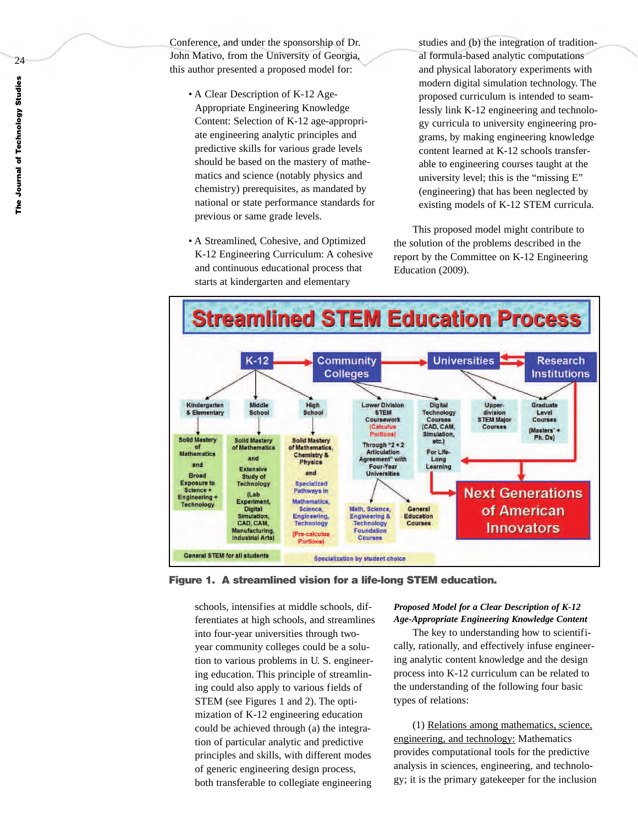Conference, and under the sponsorship of Dr. John Mativo, from the University of Georgia, this author presented a proposed model for:

- A Clear Description of K-12 Age-Appropriate Engineering Knowledge Content: Selection of K-12 age-appropriate engineering analytic principles and predictive skills for various grade levels should be based on the mastery of mathematics and science (notably physics and chemistry) prerequisites, as mandated by national or state performance standards for previous or same grade levels.
- A Streamlined, Cohesive, and Optimized K-12 Engineering Curriculum: A cohesive and continuous educational process that starts at kindergarten and elementary

studies and (b) the integration of traditional formula-based analytic computations and physical laboratory experiments with modern digital simulation technology. The proposed curriculum is intended to seamlessly link K-12 engineering and technology curricula to university engineering programs, by making engineering knowledge content learned at K-12 schools transferable to engineering courses taught at the university level; this is the "missing E" (engineering) that has been neglected by existing models of K-12 STEM curricula.

This proposed model might contribute to the solution of the problems described in the report by the Committee on K-12 Engineering Education (2009).



**Figure 1. A streamlined vision for a life-long STEM education.**

schools, intensifies at middle schools, differentiates at high schools, and streamlines into four-year universities through twoyear community colleges could be a solution to various problems in U. S. engineering education. This principle of streamlining could also apply to various fields of STEM (see Figures 1 and 2). The optimization of K-12 engineering education could be achieved through (a) the integration of particular analytic and predictive principles and skills, with different modes of generic engineering design process, both transferable to collegiate engineering

# *Proposed Model for a Clear Description of K-12 Age-Appropriate Engineering Knowledge Content*

The key to understanding how to scientifically, rationally, and effectively infuse engineering analytic content knowledge and the design process into K-12 curriculum can be related to the understanding of the following four basic types of relations:

(1) Relations among mathematics, science, engineering, and technology: Mathematics provides computational tools for the predictive analysis in sciences, engineering, and technology; it is the primary gatekeeper for the inclusion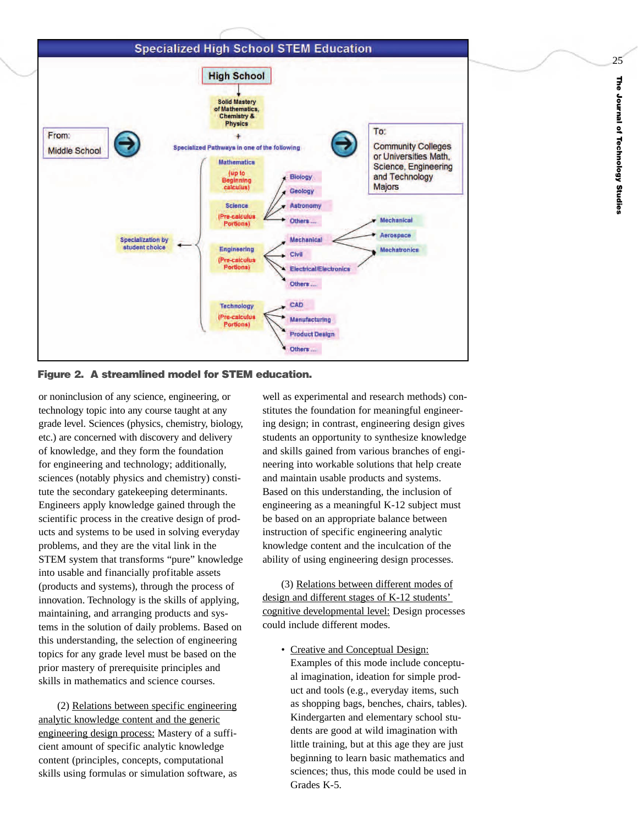## **Specialized High School STEM Education**



**Figure 2. A streamlined model for STEM education.**

or noninclusion of any science, engineering, or technology topic into any course taught at any grade level. Sciences (physics, chemistry, biology, etc.) are concerned with discovery and delivery of knowledge, and they form the foundation for engineering and technology; additionally, sciences (notably physics and chemistry) constitute the secondary gatekeeping determinants. Engineers apply knowledge gained through the scientific process in the creative design of products and systems to be used in solving everyday problems, and they are the vital link in the STEM system that transforms "pure" knowledge into usable and financially profitable assets (products and systems), through the process of innovation. Technology is the skills of applying, maintaining, and arranging products and systems in the solution of daily problems. Based on this understanding, the selection of engineering topics for any grade level must be based on the prior mastery of prerequisite principles and skills in mathematics and science courses.

(2) Relations between specific engineering analytic knowledge content and the generic engineering design process: Mastery of a sufficient amount of specific analytic knowledge content (principles, concepts, computational skills using formulas or simulation software, as

well as experimental and research methods) constitutes the foundation for meaningful engineering design; in contrast, engineering design gives students an opportunity to synthesize knowledge and skills gained from various branches of engineering into workable solutions that help create and maintain usable products and systems. Based on this understanding, the inclusion of engineering as a meaningful K-12 subject must be based on an appropriate balance between instruction of specific engineering analytic knowledge content and the inculcation of the ability of using engineering design processes.

(3) Relations between different modes of design and different stages of K-12 students' cognitive developmental level: Design processes could include different modes.

• Creative and Conceptual Design: Examples of this mode include conceptual imagination, ideation for simple product and tools (e.g., everyday items, such as shopping bags, benches, chairs, tables). Kindergarten and elementary school students are good at wild imagination with little training, but at this age they are just beginning to learn basic mathematics and sciences; thus, this mode could be used in Grades K-5.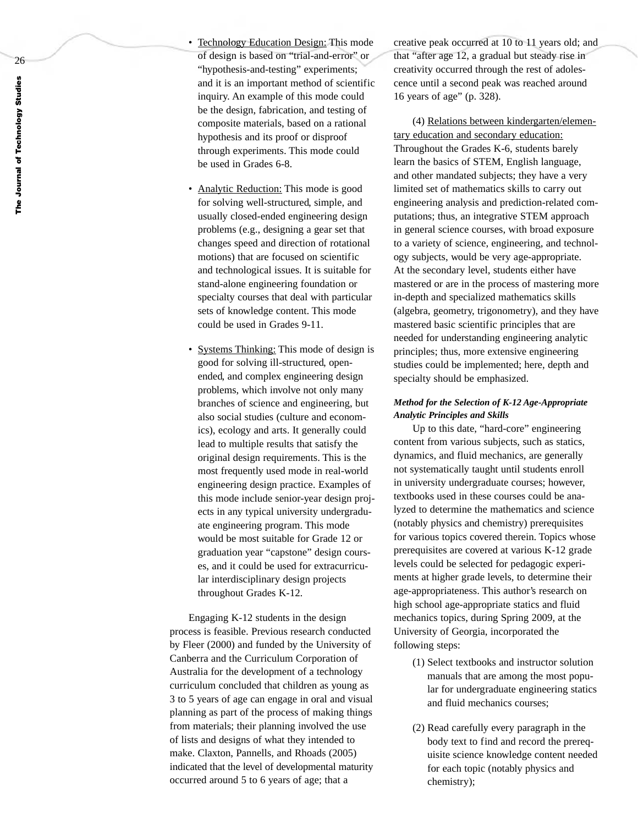- Technology Education Design: This mode of design is based on "trial-and-error" or "hypothesis-and-testing" experiments; and it is an important method of scientific inquiry. An example of this mode could be the design, fabrication, and testing of composite materials, based on a rational hypothesis and its proof or disproof through experiments. This mode could be used in Grades 6-8.
	- Analytic Reduction: This mode is good for solving well-structured, simple, and usually closed-ended engineering design problems (e.g., designing a gear set that changes speed and direction of rotational motions) that are focused on scientific and technological issues. It is suitable for stand-alone engineering foundation or specialty courses that deal with particular sets of knowledge content. This mode could be used in Grades 9-11.
	- Systems Thinking: This mode of design is good for solving ill-structured, openended, and complex engineering design problems, which involve not only many branches of science and engineering, but also social studies (culture and economics), ecology and arts. It generally could lead to multiple results that satisfy the original design requirements. This is the most frequentl y used mode in real-world engineering design practice. Examples of this mode include senior-year design projects in any typical university undergraduate engineering program. This mode would be most suitable for Grade 12 or graduation year "capstone" design courses, and it could be used for extracurricular interdisciplinary design projects throughout Grades K-12.

Engaging K-12 students in the design process is feasible. Previous research conducted by Fleer (2000) and funded by the University of Canberra and the Curriculum Corporation of Australia for the development of a technology curriculum concluded that children as young as 3 to 5 years of age can engage in oral and visual planning as part of the process of making things from materials; their planning involved the use of lists and designs of what they intended to make. Claxton, Pannells, and Rhoads (2005) indicated that the level of developmental maturity occurred around 5 to 6 years of age; that a

creative peak occurred at 10 to 11 years old; and that "after age 12, a gradual but steady rise in creativity occurred through the rest of adolescence until a second peak was reached around 16 years of age" (p. 328).

(4) Relations between kindergarten/elementar y education and secondar y education: Throughout the Grades K-6, students barely learn the basics of STEM, English language, and other mandated subjects; they have a very limited set of mathematics skills to carry out engineering analysis and prediction-related computations; thus, an integrative STEM approach in general science courses, with broad exposure to a variety of science, engineering, and technology subjects, would be very age-appropriate. At the secondary level, students either have mastered or are in the process of mastering more in-depth and specialized mathematics skills (algebra, geometry, trigonometry), and they have mastered basic scientific principles that are needed for understanding engineering analytic principles; thus, more extensive engineering studies could be implemented; here, depth and specialty should be emphasized.

## *Method for the Selection of K-12 Age-Appropriate Analytic Principles and Skills*

Up to this date, "hard-core" engineering content from various subjects, such as statics, dynamics, and fluid mechanics, are generally not systematicall y taught until students enroll in university undergraduate courses; however, textbooks used in these courses could be analyzed to determine the mathematics and science (notably physics and chemistry) prerequisites for various topics covered therein. Topics whose prerequisites are covered at various K-12 grade levels could be selected for pedagogic experiments at higher grade levels, to determine their age-appropriateness. This author' s research on high school age-appropriate statics and fluid mechanics topics, during Spring 2009, at the University of Georgia, incorporated the following steps:

- (1) Select textbooks and instructor solution manuals that are among the most popular for undergraduate engineering statics and fluid mechanics courses;
- (2) Read carefully every paragraph in the body text to find and record the prerequisite science knowledge content needed for each topic (notably physics and chemistry);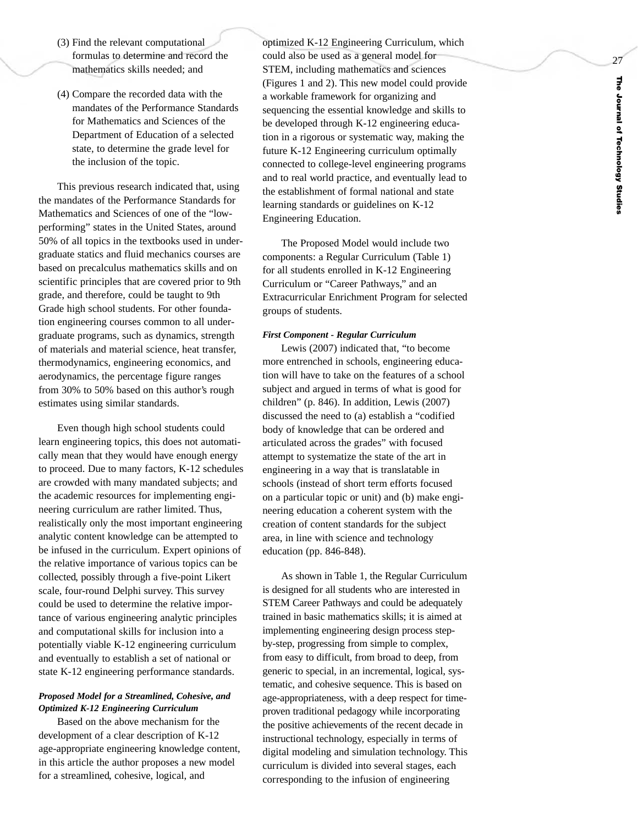- (3) Find the relevant computational formulas to determine and record the mathematics skills needed; and
- (4) Compare the recorded data with the mandates of the Performance Standards for Mathematics and Sciences of the Department of Education of a selected state, to determine the grade level for the inclusion of the topic.

This previous research indicated that, using the mandates of the Performance Standards for Mathematics and Sciences of one of the "lowperforming" states in the United States, around 50% of all topics in the textbooks used in undergraduate statics and fluid mechanics courses are based on precalculus mathematics skills and on scientific principles that are covered prior to 9th grade, and therefore, could be taught to 9th Grade high school students. For other foundation engineering courses common to all undergraduate programs, such as dynamics, strength of materials and material science, heat transfer, thermodynamics, engineering economics, and aerodynamics, the percentage figure ranges from 30% to 50% based on this author's rough estimates using similar standards.

Even though high school students could lear n engineering topics, this does not automatically mean that they would have enough energy to proceed. Due to many factors, K-12 schedules are crowded with many mandated subjects; and the academic resources for implementing engineering curriculum are rather limited. Thus, realistically only the most important engineering analytic content knowledge can be attempted to be infused in the curriculum. Expert opinions of the relativ e importance of various topics can be collected, possibly through a five-point Likert scale, four-round Delphi survey. This survey could be used to determine the relativ e importance of various engineering analytic principles and computational skills for inclusion into a potentially viable K-12 engineering curriculum and eventually to establish a set of national or state K-12 engineering performance standards.

## *Proposed Model for a Streamlined, Cohesive, and Optimized K-12 Engineering Curriculum*

Based on the above mechanism for the development of a clear description of K-12 age-appropriate engineering knowledge content, in this article the author proposes a new model for a streamlined, cohesive, logical, and

optimized K-12 Engineering Curriculum, which could also be used as a general model for STEM, including mathematics and sciences (Figures 1 and 2). This new model could provide a workable framework for organizing and sequencing the essential knowledge and skills to be developed through K-12 engineering education in a rigorous or systematic way, making the future K-12 Engineering curriculum optimally connected to college-level engineering programs and to real world practice, and eventually lead to the establishment of formal national and state learning standards or guidelines on K-12 Engineering Education.

The Proposed Model would include two components: a Regular Curriculum (Table 1) for all students enrolled in K-12 Engineering Curriculum or "Career Pathways," and an Extracurricular Enrichment Program for selected groups of students.

#### *First Component - Regular Curriculum*

Lewis (2007) indicated that, "to become more entrenched in schools, engineering education will have to take on the features of a school subject and argued in terms of what is good for children" (p. 846). In addition, Lewis (2007) discussed the need to (a) establish a "codified body of knowledge that can be ordered and articulated across the grades" with focused attempt to systematize the state of the art in engineering in a way that is translatable in schools (instead of short term efforts focused on a particular topic or unit) and (b) make engineering education a coherent system with the creation of content standards for the subject area, in line with science and technology education (pp. 846-848).

As shown in Table 1, the Regular Curriculum is designed for all students who are interested in STEM Career Pathways and could be adequately trained in basic mathematics skills; it is aimed at implementing engineering design process stepby-step, progressing from simple to complex, from easy to difficult, from broad to deep, from generic to special, in an incremental, logical, systematic, and cohesive sequence. This is based on age-appropriateness, with a deep respect for timeproven traditional pedagogy while incorporating the positive achievements of the recent decade in instructional technology, especially in terms of digital modeling and simulation technology. This curriculum is divided into several stages, each corresponding to the infusion of engineering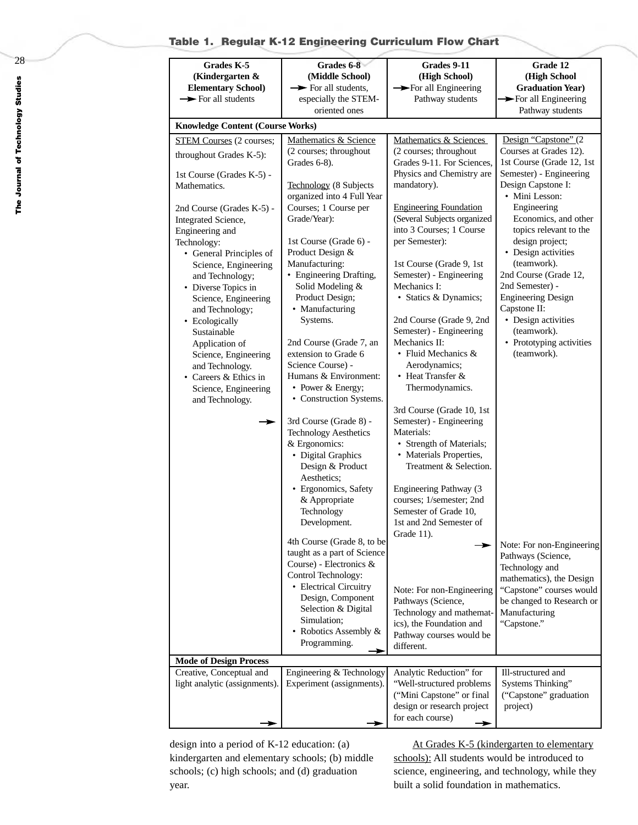# **Table 1. Regular K-12 Engineering Curriculum Flow Chart**

| Grades K-5<br>(Kindergarten $\&$<br><b>Elementary School)</b><br>$\rightarrow$ For all students                                                                                                                                                                                                                                                                                                                                                                                                         | Grades 6-8<br>(Middle School)<br>$\rightarrow$ For all students,<br>especially the STEM-                                                                                                                                                                                                                                                                                                                                                                                                                     | Grades 9-11<br>(High School)<br>For all Engineering<br>Pathway students                                                                                                                                                                                                                                                                                                                                                                                                                                                                                    | Grade 12<br>(High School<br><b>Graduation Year)</b><br>> For all Engineering                                                                                                                                                                                                                                                                                                                                                                       |  |  |  |  |  |  |  |
|---------------------------------------------------------------------------------------------------------------------------------------------------------------------------------------------------------------------------------------------------------------------------------------------------------------------------------------------------------------------------------------------------------------------------------------------------------------------------------------------------------|--------------------------------------------------------------------------------------------------------------------------------------------------------------------------------------------------------------------------------------------------------------------------------------------------------------------------------------------------------------------------------------------------------------------------------------------------------------------------------------------------------------|------------------------------------------------------------------------------------------------------------------------------------------------------------------------------------------------------------------------------------------------------------------------------------------------------------------------------------------------------------------------------------------------------------------------------------------------------------------------------------------------------------------------------------------------------------|----------------------------------------------------------------------------------------------------------------------------------------------------------------------------------------------------------------------------------------------------------------------------------------------------------------------------------------------------------------------------------------------------------------------------------------------------|--|--|--|--|--|--|--|
|                                                                                                                                                                                                                                                                                                                                                                                                                                                                                                         | oriented ones                                                                                                                                                                                                                                                                                                                                                                                                                                                                                                |                                                                                                                                                                                                                                                                                                                                                                                                                                                                                                                                                            | Pathway students                                                                                                                                                                                                                                                                                                                                                                                                                                   |  |  |  |  |  |  |  |
| <b>Knowledge Content (Course Works)</b>                                                                                                                                                                                                                                                                                                                                                                                                                                                                 |                                                                                                                                                                                                                                                                                                                                                                                                                                                                                                              |                                                                                                                                                                                                                                                                                                                                                                                                                                                                                                                                                            |                                                                                                                                                                                                                                                                                                                                                                                                                                                    |  |  |  |  |  |  |  |
| <b>STEM Courses</b> (2 courses;<br>throughout Grades K-5):<br>1st Course (Grades K-5) -<br>Mathematics.<br>2nd Course (Grades K-5) -<br>Integrated Science,<br>Engineering and<br>Technology:<br>• General Principles of<br>Science, Engineering<br>and Technology;<br>• Diverse Topics in<br>Science, Engineering<br>and Technology;<br>• Ecologically<br>Sustainable<br>Application of<br>Science, Engineering<br>and Technology.<br>• Careers & Ethics in<br>Science, Engineering<br>and Technology. | Mathematics & Science<br>(2 courses; throughout<br>Grades 6-8).<br>Technology (8 Subjects<br>organized into 4 Full Year<br>Courses; 1 Course per<br>Grade/Year):<br>1st Course (Grade 6) -<br>Product Design &<br>Manufacturing:<br>• Engineering Drafting,<br>Solid Modeling &<br>Product Design;<br>• Manufacturing<br>Systems.<br>2nd Course (Grade 7, an<br>extension to Grade 6<br>Science Course) -<br>Humans & Environment:<br>• Power & Energy;<br>• Construction Systems.<br>3rd Course (Grade 8) - | Mathematics & Sciences<br>(2 courses; throughout<br>Grades 9-11. For Sciences,<br>Physics and Chemistry are<br>mandatory).<br><b>Engineering Foundation</b><br>(Several Subjects organized<br>into 3 Courses; 1 Course<br>per Semester):<br>1st Course (Grade 9, 1st<br>Semester) - Engineering<br>Mechanics I:<br>• Statics & Dynamics;<br>2nd Course (Grade 9, 2nd<br>Semester) - Engineering<br>Mechanics II:<br>• Fluid Mechanics $&$<br>Aerodynamics;<br>• Heat Transfer &<br>Thermodynamics.<br>3rd Course (Grade 10, 1st<br>Semester) - Engineering | Design "Capstone" (2<br>Courses at Grades 12).<br>1st Course (Grade 12, 1st<br>Semester) - Engineering<br>Design Capstone I:<br>• Mini Lesson:<br>Engineering<br>Economics, and other<br>topics relevant to the<br>design project;<br>• Design activities<br>(teamwork).<br>2nd Course (Grade 12,<br>2nd Semester) -<br><b>Engineering Design</b><br>Capstone II:<br>• Design activities<br>(teamwork).<br>• Prototyping activities<br>(teamwork). |  |  |  |  |  |  |  |
| ➤<br><b>Mode of Design Process</b>                                                                                                                                                                                                                                                                                                                                                                                                                                                                      | <b>Technology Aesthetics</b><br>& Ergonomics:<br>• Digital Graphics<br>Design & Product<br>Aesthetics:<br>· Ergonomics, Safety<br>& Appropriate<br>Technology<br>Development.<br>4th Course (Grade 8, to be<br>taught as a part of Science<br>Course) - Electronics &<br>Control Technology:<br>• Electrical Circuitry<br>Design, Component<br>Selection & Digital<br>Simulation;<br>• Robotics Assembly &<br>Programming.                                                                                   | Materials:<br>• Strength of Materials;<br>• Materials Properties,<br>Treatment & Selection.<br>Engineering Pathway (3<br>courses; 1/semester; 2nd<br>Semester of Grade 10,<br>1st and 2nd Semester of<br>Grade 11).<br>Note: For non-Engineering<br>Pathways (Science,<br>Technology and mathemat-<br>ics), the Foundation and<br>Pathway courses would be<br>different.                                                                                                                                                                                   | Note: For non-Engineering<br>Pathways (Science,<br>Technology and<br>mathematics), the Design<br>"Capstone" courses would<br>be changed to Research or<br>Manufacturing<br>"Capstone."                                                                                                                                                                                                                                                             |  |  |  |  |  |  |  |
| Creative, Conceptual and                                                                                                                                                                                                                                                                                                                                                                                                                                                                                | Engineering & Technology                                                                                                                                                                                                                                                                                                                                                                                                                                                                                     | Analytic Reduction" for                                                                                                                                                                                                                                                                                                                                                                                                                                                                                                                                    | Ill-structured and                                                                                                                                                                                                                                                                                                                                                                                                                                 |  |  |  |  |  |  |  |
| light analytic (assignments).                                                                                                                                                                                                                                                                                                                                                                                                                                                                           | Experiment (assignments).                                                                                                                                                                                                                                                                                                                                                                                                                                                                                    | "Well-structured problems<br>("Mini Capstone" or final<br>design or research project<br>for each course)                                                                                                                                                                                                                                                                                                                                                                                                                                                   | Systems Thinking"<br>("Capstone" graduation<br>project)                                                                                                                                                                                                                                                                                                                                                                                            |  |  |  |  |  |  |  |

design into a period of K-12 education: (a) kindergarten and elementary schools; (b) middle schools; (c) high schools; and (d) graduation year.

At Grades K-5 (kindergarten to elementary schools): All students would be introduced to science, engineering, and technology, while they built a solid foundation in mathematics.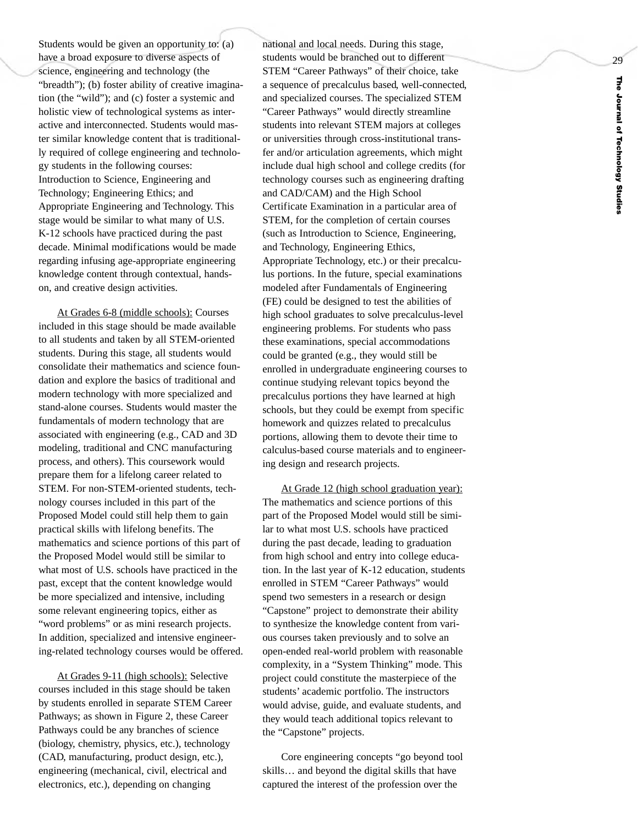Students would be given an opportunity to: (a) have a broad exposure to diverse aspects of science, engineering and technology (the "breadth"); (b) foster ability of creative imagination (the "wild"); and (c) foster a systemic and holistic view of technological systems as interactive and interconnected. Students would master similar knowledge content that is traditionally required of college engineering and technology students in the following courses: Introduction to Science, Engineering and Technology; Engineering Ethics; and Appropriate Engineering and Technology. This stage would be similar to what many of U.S. K-12 schools have practiced during the past decade. Minimal modifications would be made regarding infusing age-appropriate engineering knowledge content through contextual, handson, and creative design activities.

At Grades 6-8 (middle schools): Courses included in this stage should be made available to all students and taken b y all STEM-oriented students. During this stage, all students would consolidate their mathematics and science foundation and explore the basics of traditional and moder n technology with more specialized and stand-alone courses. Students would master the fundamentals of modern technology that are associated with engineering (e.g., CAD and 3D modeling, traditional and CNC manufacturing process, and others). This coursework would prepare them for a lifelong career related to STEM. For non-STEM-oriented students, technology courses included in this part of the Proposed Model could still help them to gain practical skills with lifelong benefits. The mathematics and science portions of this part of the Proposed Model would still be similar to what most of U.S. schools have practiced in the past, except that the content knowledge would be more specialized and intensive, including some relevant engineering topics, either as "word problems" or as mini research projects. In addition, specialized and intensive engineering-related technology courses would be offered.

At Grades 9-11 (high schools): Selective courses included in this stage should be taken by students enrolled in separate STEM Career Pathways; as shown in Figure 2, these Career Pathways could be any branches of science (biology, chemistry, physics, etc.), technology (CAD, manufacturing, product design, etc.), engineering (mechanical, civil, electrical and electronics, etc.), depending on changing

national and local needs. During this stage, students would be branched out to different STEM "Career Pathways" of their choice, take a sequence of precalculus based, well-connected, and specialized courses. The specialized STEM "Career Pathways" would directly streamline students into relevant STEM majors at colleges or universities through cross-institutional transfer and/or articulation agreements, which might include dual high school and college credits (for technology courses such as engineering drafting and CAD/CAM) and the High School Certificate Examination in a particular area of STEM, for the completion of certain courses (such as Introduction to Science, Engineering, and Technology, Engineering Ethics, Appropriate Technology, etc.) or their precalculus portions. In the future, special examinations modeled after Fundamentals of Engineering (FE) could be designed to test the abilities of high school graduates to solve precalculus-level engineering problems. For students who pass these examinations, special accommodations could be granted (e.g., they would still be enrolled in undergraduate engineering courses to continue studying relevant topics beyond the precalculus portions they have learned at high schools, but they could be exempt from specific homework and quizzes related to precalculus portions, allowing them to devote their time to calculus-based course materials and to engineering design and research projects.

At Grade 12 (high school graduation year): The mathematics and science portions of this part of the Proposed Model would still be similar to what most U.S. schools have practiced during the past decade, leading to graduation from high school and entry into college education. In the last year of K-12 education, students enrolled in STEM "Career Pathways" would spend two semesters in a research or design "Capstone" project to demonstrate their ability to synthesize the knowledge content from various courses taken previously and to solve an open-ended real-world problem with reasonable complexity, in a "System Thinking" mode. This project could constitute the masterpiece of the students' academic portfolio. The instructors would advise, guide, and evaluate students, and they would teach additional topics relevant to the "Capstone" projects.

Core engineering concepts "go beyond tool skills… and beyond the digital skills that have captured the interest of the profession over the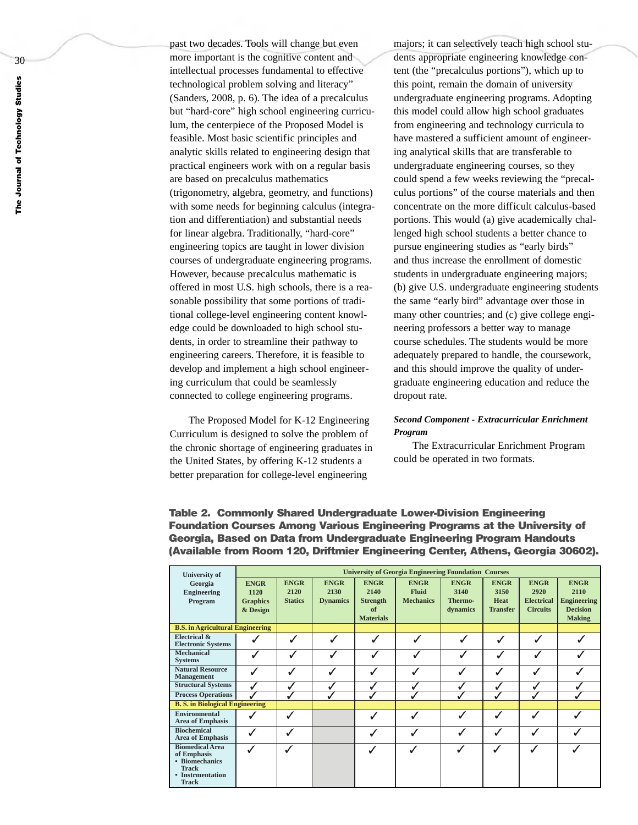past two decades. Tools will change but even more important is the cognitive content and intellectual processes fundamental to effective technological problem solving and literacy" (Sanders, 2008, p. 6). The idea of a precalculus but "hard-core" high school engineering curriculum, the centerpiece of the Proposed Model is feasible. Most basic scientific principles and analytic skills related to engineering design that practical engineers work with on a regular basis are based on precalculus mathematics (trigonometry, algebra, geometry, and functions) with some needs for beginning calculus (integration and differentiation) and substantial needs for linear algebra. Traditionally, "hard-core" engineering topics are taught in lower division courses of undergraduate engineering programs. However, because precalculus mathematic is offered in most U.S. high schools, there is a reasonable possibility that some portions of traditional college-level engineering content knowledge could be downloaded to high school students, in order to streamline their pathway to engineering careers. Therefore, it is feasible to develop and implement a high school engineering curriculum that could be seamlessly connected to college engineering programs.

The Proposed Model for K-12 Engineering Curriculum is designed to solv e the problem of the chronic shortage of engineering graduates in the United States, by offering K-12 students a better preparation for college-level engineering

majors; it can selectively teach high school students appropriate engineering knowledge content (the "precalculus portions"), which up to this point, remain the domain of university undergraduate engineering programs. Adopting this model could allow high school graduates from engineering and technology curricula to have mastered a sufficient amount of engineering analytical skills that are transferable to undergraduate engineering courses, so they could spend a few weeks reviewing the "precalculus portions" of the course materials and then concentrate on the more difficult calculus-based portions. This would (a) give academically challenged high school students a better chance to pursue engineering studies as "early birds" and thus increase the enrollment of domestic students in undergraduate engineering majors; (b) give U.S. undergraduate engineering students the same "early bird" advantage over those in man y other countries; and (c) giv e college engineering professors a better way to manage course schedules. The students would be more adequately prepared to handle, the coursework, and this should improve the quality of undergraduate engineering education and reduce the dropout rate.

### *Second Component - Extracurricular Enrichment Program*

The Extracurricular Enrichment Program could be operated in tw o formats.

| <b>University of</b>                                                                                        | <b>University of Georgia Engineering Foundation Courses</b> |                                       |                                        |                                                                  |                                                 |                                            |                                                       |                                                             |                                                                               |  |
|-------------------------------------------------------------------------------------------------------------|-------------------------------------------------------------|---------------------------------------|----------------------------------------|------------------------------------------------------------------|-------------------------------------------------|--------------------------------------------|-------------------------------------------------------|-------------------------------------------------------------|-------------------------------------------------------------------------------|--|
| Georgia<br><b>Engineering</b><br>Program                                                                    | <b>ENGR</b><br>1120<br><b>Graphics</b><br>& Design          | <b>ENGR</b><br>2120<br><b>Statics</b> | <b>ENGR</b><br>2130<br><b>Dynamics</b> | <b>ENGR</b><br>2140<br><b>Strength</b><br>of<br><b>Materials</b> | <b>ENGR</b><br><b>Fluid</b><br><b>Mechanics</b> | <b>ENGR</b><br>3140<br>Thermo-<br>dynamics | <b>ENGR</b><br>3150<br><b>Heat</b><br><b>Transfer</b> | <b>ENGR</b><br>2920<br><b>Electrical</b><br><b>Circuits</b> | <b>ENGR</b><br>2110<br><b>Engineering</b><br><b>Decision</b><br><b>Making</b> |  |
| <b>B.S.</b> in Agricultural Engineering                                                                     |                                                             |                                       |                                        |                                                                  |                                                 |                                            |                                                       |                                                             |                                                                               |  |
| Electrical &<br><b>Electronic Systems</b>                                                                   |                                                             | $\checkmark$                          | $\checkmark$                           | $\checkmark$                                                     |                                                 |                                            | $\checkmark$                                          | $\checkmark$                                                |                                                                               |  |
| Mechanical<br><b>Systems</b>                                                                                | $\bar{J}$                                                   | $\bar{J}$                             | $\checkmark$                           |                                                                  | $\checkmark$                                    | $\checkmark$                               |                                                       |                                                             |                                                                               |  |
| <b>Natural Resource</b><br>Management                                                                       | $\checkmark$                                                |                                       | $\checkmark$                           |                                                                  | $\checkmark$                                    | $\checkmark$                               |                                                       |                                                             |                                                                               |  |
| <b>Structural Systems</b>                                                                                   |                                                             |                                       |                                        |                                                                  |                                                 |                                            |                                                       |                                                             |                                                                               |  |
| <b>Process Operations</b>                                                                                   |                                                             |                                       |                                        |                                                                  |                                                 |                                            |                                                       |                                                             |                                                                               |  |
| <b>B. S. in Biological Engineering</b>                                                                      |                                                             |                                       |                                        |                                                                  |                                                 |                                            |                                                       |                                                             |                                                                               |  |
| Environmental<br><b>Area of Emphasis</b>                                                                    | ✓                                                           | $\mathcal{I}$                         |                                        |                                                                  | $\checkmark$                                    | $\checkmark$                               | $\checkmark$                                          |                                                             |                                                                               |  |
| <b>Biochemical</b><br><b>Area of Emphasis</b>                                                               | √                                                           | ✓                                     |                                        |                                                                  | √                                               | √                                          |                                                       |                                                             |                                                                               |  |
| <b>Biomedical Area</b><br>of Emphasis<br>• Biomechanics<br><b>Track</b><br>• Instrmentation<br><b>Track</b> | $\checkmark$                                                | √                                     |                                        |                                                                  | $\checkmark$                                    | $\checkmark$                               | $\checkmark$                                          |                                                             |                                                                               |  |

**Table 2. Commonly Shared Undergraduate Lower-Division Engineering Foundation Courses Among Various Engineering Programs at the University of Georgia, Based on Data from Undergraduate Engineering Program Handouts (Available from Room 120, Driftmier Engineering Center, Athens, Georgia 30602).**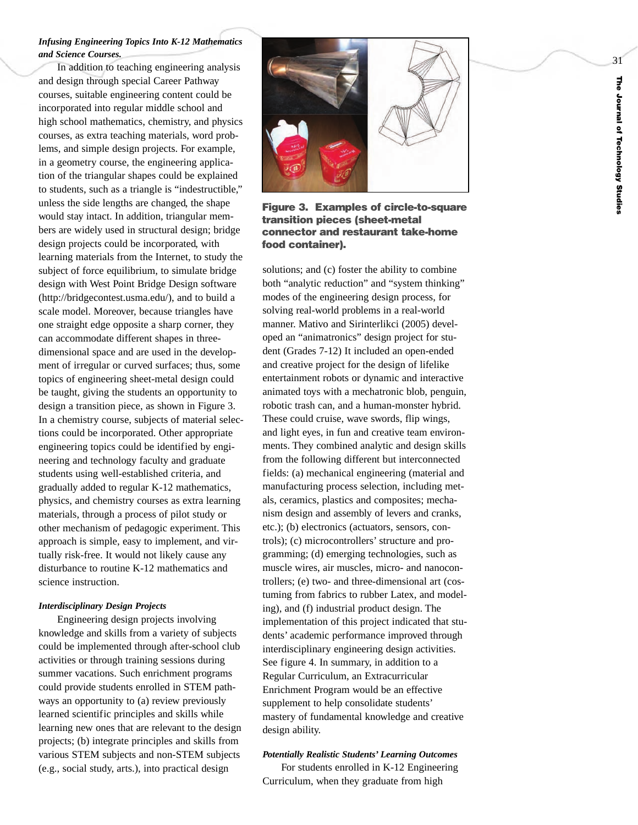## *Infusing Engineering Topics Into K-12 Mathematics and Science Courses.*

In addition to teaching engineering analysis and design through special Career Pathway courses, suitable engineering content could be incorporated into regular middle school and high school mathematics, chemistry, and physics courses, as extra teaching materials, word problems, and simple design projects. For example, in a geometry course, the engineering application of the triangular shapes could be explained to students, such as a triangle is "indestructible," unless the side lengths are changed, the shape would stay intact. In addition, triangular members are widely used in structural design; bridge design projects could be incorporated, with learning materials from the Internet, to study the subject of force equilibrium, to simulate bridge design with West Point Bridge Design software (http://bridgecontest.usma.edu/), and to build a scale model. Moreover, because triangles have one straight edge opposite a shar p corner , they can accommodate different shapes in threedimensional space and are used in the development of irregular or curved surfaces; thus, some topics of engineering sheet-metal design could be taught, giving the students an opportunity to design a transition piece, as shown in Figure 3. In a chemistry course, subjects of material selections could be incorporated. Other appropriate engineering topics could be identified b y engineering and technology faculty and graduate students using well-established criteria, and gradually added to regular K-12 mathematics, physics, and chemistry courses as extra learning materials, through a process of pilot study or other mechanism of pedagogic experiment. This approach is simple, easy to implement, and virtually risk-free. It would not likely cause any disturbance to routine K-12 mathematics and science instruction.

#### *Interdisciplinary Design Projects*

Engineering design projects involving knowledge and skills from a variety of subjects could be implemented through after-school club activities or through training sessions during summer vacations. Such enrichment programs could provide students enrolled in STEM pathways an opportunity to (a) review previously learned scientific principles and skills while learning new ones that are relevant to the design projects; (b) integrate principles and skills from various STEM subjects and non-STEM subjects (e.g., social study, arts.), into practical design



**Figure 3. Examples of circle-to-square transition pieces (sheet-metal connector and restaurant take-home food container).**

solutions; and (c) foster the ability to combine both "analytic reduction" and "system thinking" modes of the engineering design process, for solving real-world problems in a real-world manner . Mativ o and Sirinterlikci (2005) developed an "animatronics" design project for student (Grades 7-12) It included an open-ended and creative project for the design of lifelike entertainment robots or dynamic and interactive animated toys with a mechatronic blob, penguin, robotic trash can, and a human-monster hybrid. These could cruise, wave swords, flip wings, and light eyes, in fun and creative team environments. They combined analytic and design skills from the following different but interconnected fields: (a) mechanical engineering (material and manufacturing process selection, including metals, ceramics, plastics and composites; mechanism design and assembly of levers and cranks, etc.); (b) electronics (actuators, sensors, controls); (c) microcontrollers' structure and programming; (d) emerging technologies, such as muscle wires, air muscles, micro- and nanocontrollers; (e) two- and three-dimensional art (costuming from fabrics to rubber Latex, and modeling), and (f) industrial product design. The implementation of this project indicated that students' academic performance improved through interdisciplinary engineering design activities. See figure 4. In summary, in addition to a Regular Curriculum, an Extracurricular Enrichment Program would be an effective supplement to help consolidate students' master y of fundamental knowledge and creative design ability.

# *Potentially Realistic Students' Learning Outcomes*

For students enrolled in K-12 Engineering Curriculum, when they graduate from high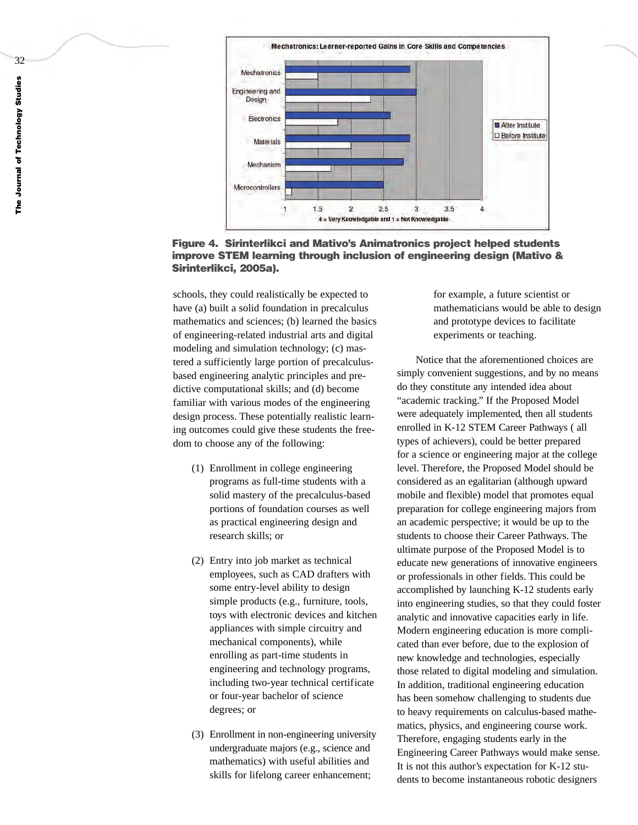

**Figure 4. Sirinterlikci and Mativo's Animatronics project helped students improve STEM learning through inclusion of engineering design (Mativo & Sirinterlikci, 2005a).**

schools, they could realistically be expected to have (a) built a solid foundation in precalculus mathematics and sciences; (b) learned the basics of engineering-related industrial arts and digital modeling and simulation technology; (c) mastered a sufficiently large portion of precalculusbased engineering analytic principles and predictive computational skills; and (d) become familiar with various modes of the engineering design process. These potentially realistic learning outcomes could give these students the freedom to choose any of the following:

- (1) Enrollment in college engineering programs as full-time students with a solid mastery of the precalculus-based portions of foundation courses as well as practical engineering design and research skills; or
- (2) Entr y into job market as technical employees, such as CAD drafters with some entry-level ability to design simple products (e.g., furniture, tools, toys with electronic devices and kitchen appliances with simple circuitry and mechanical components), while enrolling as part-time students in engineering and technology programs, including two-year technical certificate or four-year bachelor of science degrees; or
- (3) Enrollment in non-engineering uni versity undergraduate majors (e.g., science and mathematics) with useful abilities and skills for lifelong career enhancement;

for example, a future scientist or mathematicians would be able to design and prototype devices to facilitate experiments or teaching.

Notice that the aforementioned choices are simply convenient suggestions, and by no means do they constitute any intended idea about "academic tracking. " If the Proposed Model were adequately implemented, then all students enrolled in K-12 STEM Career Pathways ( all types of achie vers), could be better prepared for a science or engineering major at the college le vel. Therefore, the Proposed Model should be considered as an e galitarian (although upward mobile and flexible) model that promotes equal preparation for college engineering majors from an academic perspective; it would be up to the students to choose their Career Pathways. The ultimate purpose of the Proposed Model is to educate new generations of innovative engineers or professionals in other fields. This could be accomplished by launching K-12 students early into engineering studies, so that they could foster analytic and innovative capacities early in life. Moder n engineering education is more complicated than ever before, due to the explosion of new knowledge and technologies, especially those related to digital modeling and simulation. In addition, traditional engineering education has been somehow challenging to students due to heavy requirements on calculus-based mathe matics, physics, and engineering course work. Therefore, engaging students early in the Engineering Career Pathways would make sense. It is not this author' s expectation for K-12 students to become instantaneous robotic designers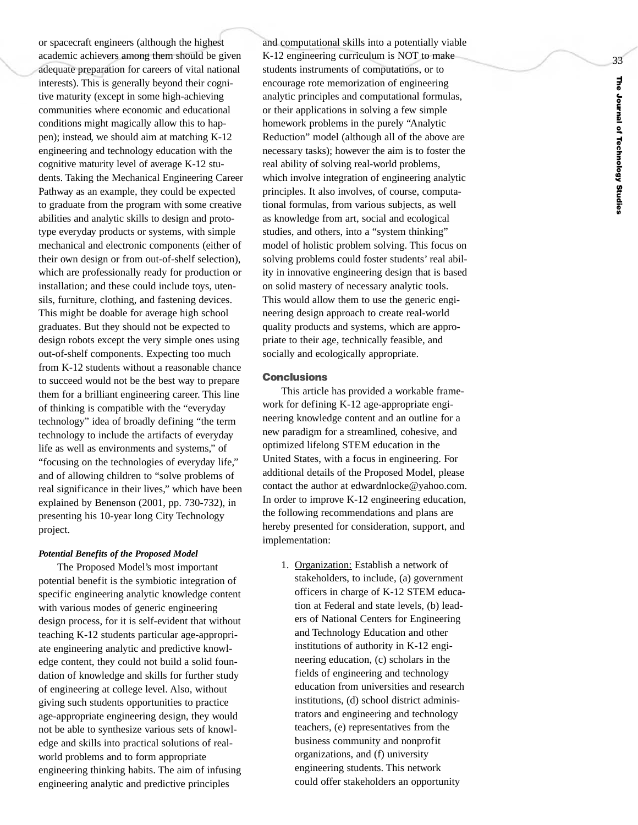or spacecraft engineers (although the highest academic achievers among them should be given adequate preparation for careers of vital national interests). This is generally beyond their cognitive maturity (except in some high-achieving communities where economic and educational conditions might magically allow this to happen); instead, we should aim at matching K-12 engineering and technology education with the cognitive maturity level of average K-12 students. Taking the Mechanical Engineering Career Pathway as an example, they could be expected to graduate from the program with some creative abilities and analytic skills to design and prototype everyday products or systems, with simple mechanical and electronic components (either of their own design or from out-of-shelf selection), which are professionally ready for production or installation; and these could include toys, utensils, furniture, clothing, and fastening devices. This might be doable for average high school graduates. But they should not be expected to design robots except the ver y simple ones using out-of-shelf components. Expecting too much from K-12 students without a reasonable chance to succeed would not be the best way to prepare them for a brilliant engineering career. This line of thinking is compatible with the "everyday technology" idea of broadl y defining "the term technology to include the artifacts of everyday life as well as environments and systems," of "focusing on the technologies of everyday life," and of allowing children to "solve problems of real significance in their lives," which have been explained by Benenson (2001, pp. 730-732), in presenting his 10-year long City Technology project.

#### *Potential Benefits of the Proposed Model*

The Proposed Model' s most important potential benefit is the symbiotic integration of specific engineering analytic knowledge content with various modes of generic engineering design process, for it is self-evident that without teaching K-12 students particular age-appropriate engineering analytic and predictive knowledge content, they could not build a solid foundation of knowledge and skills for further study of engineering at college level. Also, without giving such students opportunities to practice age-appropriate engineering design, they would not be able to synthesize various sets of knowledge and skills into practical solutions of realworld problems and to form appropriate engineering thinking habits. The aim of infusing engineering analytic and predictive principles

and computational skills into a potentially viable K-12 engineering curriculum is NOT to make students instruments of computations, or to encourage rote memorization of engineering analytic principles and computational formulas, or their applications in solving a few simple homework problems in the purely "Analytic Reduction" model (although all of the above are necessary tasks); however the aim is to foster the real ability of solving real-world problems, which involve integration of engineering analytic principles. It also involves, of course, computational formulas, from various subjects, as well as knowledge from art, social and ecological studies, and others, into a "system thinking" model of holistic problem solving. This focus on solving problems could foster students' real ability in innovative engineering design that is based on solid mastery of necessary analytic tools. This would allow them to use the generic engineering design approach to create real-world quality products and systems, which are appropriate to their age, technically feasible, and socially and ecologically appropriate.

#### **Conclusions**

This article has provided a workable framework for defining K-12 age-appropriate engineering knowledge content and an outline for a new paradigm for a streamlined, cohesive, and optimized lifelong STEM education in the United States, with a focus in engineering. For additional details of the Proposed Model, please contact the author at edwardnlocke@yahoo.com. In order to improve K-12 engineering education, the following recommendations and plans are hereby presented for consideration, support, and implementation:

> 1. Organization: Establish a network of stakeholders, to include, (a) government officers in charge of K-12 STEM education at Federal and state levels, (b) leaders of National Centers for Engineering and Technology Education and other institutions of authority in K-12 engineering education, (c) scholars in the fields of engineering and technology education from universities and research institutions, (d) school district administrators and engineering and technology teachers, (e) representatives from the business community and nonprofit organizations, and (f) university engineering students. This network could offer stakeholders an opportunity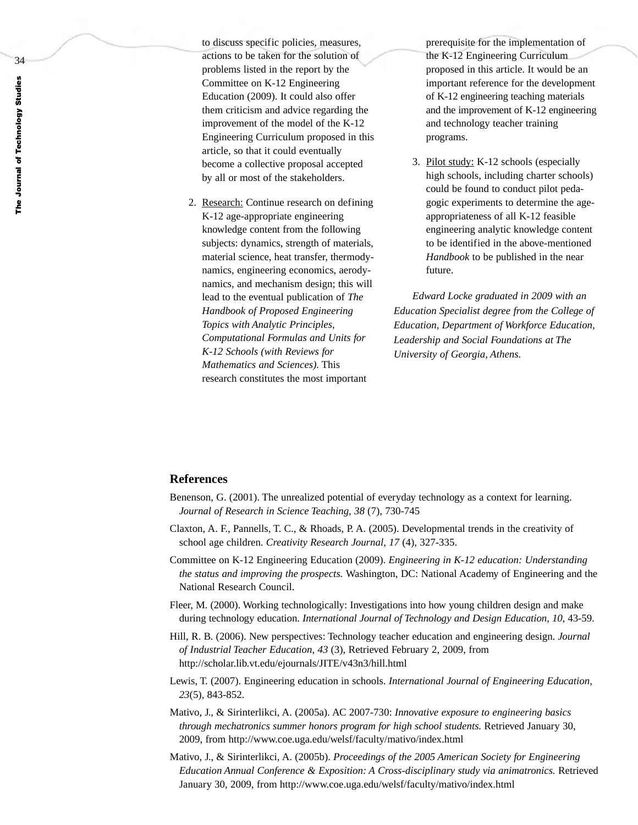34

to discuss specific policies, measures, actions to be taken for the solution of problems listed in the report by the Committee on K-12 Engineering Education (2009). It could also offer them criticism and advice regarding the improvement of the model of the K-12 Engineering Curriculum proposed in this article, so that it could eventually become a collective proposal accepted by all or most of the stakeholders.

2. Research: Continue research on defining K-12 age-appropriate engineering knowledge content from the following subjects: dynamics, strength of materials, material science, heat transfer, thermodynamics, engineering economics, aerodynamics, and mechanism design; this will lead to the eventual publication of *The Handbook of Proposed Engineering Topics with Analytic Principles, Computational Formulas and Units for K-12 Schools (with Reviews for Mathematics and Sciences).* This research constitutes the most important

prerequisite for the implementation of the K-12 Engineering Curriculum proposed in this article. It would be an important reference for the development of K-12 engineering teaching materials and the improvement of K-12 engineering and technology teacher training programs.

3. Pilot study: K-12 schools (especially high schools, including charter schools) could be found to conduct pilot pedagogic experiments to determine the ageappropriateness of all K-12 feasible engineering analytic knowledge content to be identified in the above-mentioned *Handbook* to be published in the near future.

*Edward Locke graduated in 2009 with an Education Specialist degree from the College of Education, Department of Workforce Education, Leadership and Social Foundations at The University of Georgia, Athens.*

### **References**

- Benenson, G. (2001). The unrealized potential of everyday technology as a context for learning. *Journal of Research in Science Teaching, 38* (7), 730-745
- Claxton, A. F., Pannells, T. C., & Rhoads, P. A. (2005). Developmental trends in the creativity of school age children. *Creativity Research Journal, 17* (4), 327-335.
- Committee on K-12 Engineering Education (2009). *Engineering in K-12 education: Understanding the status and improving the prospects.* Washington, DC: National Academy of Engineering and the National Research Council.
- Fleer, M. (2000). Working technologically: Investigations into how young children design and make during technology education. *International Journal of Technology and Design Education, 10*, 43-59.
- Hill, R. B. (2006). New perspectives: Technology teacher education and engineering design. *Journal of Industrial Teacher Education, 43* (3), Retrieved February 2, 2009, from http://scholar.lib.vt.edu/ejournals/JITE/v43n3/hill.html
- Lewis, T. (2007). Engineering education in schools. *International Journal of Engineering Education, 23*(5), 843-852.
- Mativo, J., & Sirinterlikci, A. (2005a). AC 2007-730: *Innovative exposure to engineering basics through mechatronics summer honors program for high school students.* Retrieved January 30, 2009, from http://www.coe.uga.edu/welsf/faculty/mativo/index.html
- Mativo, J., & Sirinterlikci, A. (2005b). *Proceedings of the 2005 American Society for Engineering Education Annual Conference & Exposition: A Cross-disciplinary study via animatronics.* Retrieved January 30, 2009, from http://www.coe.uga.edu/welsf/faculty/mativo/index.html